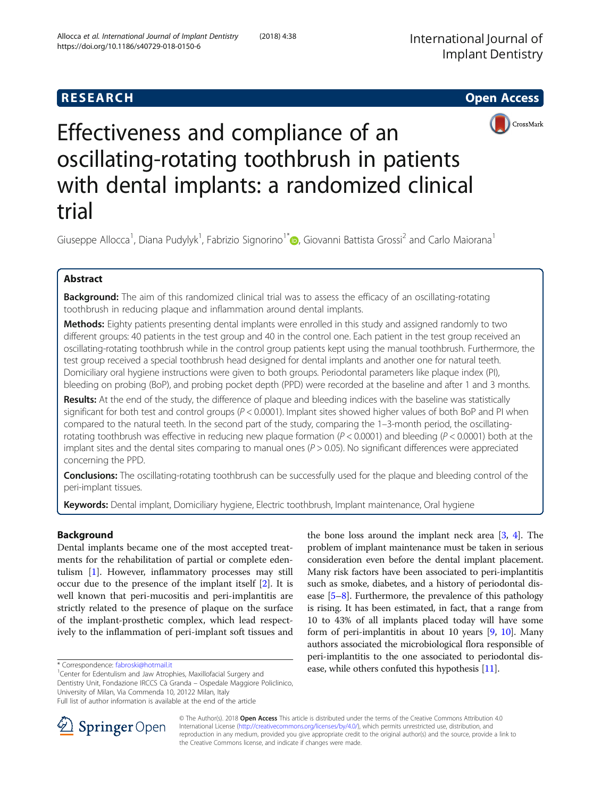## **RESEARCH CHE Open Access**





# Effectiveness and compliance of an oscillating-rotating toothbrush in patients with dental implants: a randomized clinical trial

Giuseppe Allocca<sup>1</sup>, Diana Pudylyk<sup>1</sup>, Fabrizio Signorino<sup>1[\\*](http://orcid.org/0000-0002-5232-0909)</sup> (@, Giovanni Battista Grossi<sup>2</sup> and Carlo Maiorana<sup>1</sup>

## Abstract

Background: The aim of this randomized clinical trial was to assess the efficacy of an oscillating-rotating toothbrush in reducing plaque and inflammation around dental implants.

Methods: Eighty patients presenting dental implants were enrolled in this study and assigned randomly to two different groups: 40 patients in the test group and 40 in the control one. Each patient in the test group received an oscillating-rotating toothbrush while in the control group patients kept using the manual toothbrush. Furthermore, the test group received a special toothbrush head designed for dental implants and another one for natural teeth. Domiciliary oral hygiene instructions were given to both groups. Periodontal parameters like plaque index (PI), bleeding on probing (BoP), and probing pocket depth (PPD) were recorded at the baseline and after 1 and 3 months.

Results: At the end of the study, the difference of plaque and bleeding indices with the baseline was statistically significant for both test and control groups ( $P < 0.0001$ ). Implant sites showed higher values of both BoP and PI when compared to the natural teeth. In the second part of the study, comparing the 1–3-month period, the oscillatingrotating toothbrush was effective in reducing new plaque formation ( $P < 0.0001$ ) and bleeding ( $P < 0.0001$ ) both at the implant sites and the dental sites comparing to manual ones  $(P > 0.05)$ . No significant differences were appreciated concerning the PPD.

Conclusions: The oscillating-rotating toothbrush can be successfully used for the plaque and bleeding control of the peri-implant tissues.

Keywords: Dental implant, Domiciliary hygiene, Electric toothbrush, Implant maintenance, Oral hygiene

## Background

Dental implants became one of the most accepted treatments for the rehabilitation of partial or complete edentulism [[1\]](#page-6-0). However, inflammatory processes may still occur due to the presence of the implant itself [\[2\]](#page-6-0). It is well known that peri-mucositis and peri-implantitis are strictly related to the presence of plaque on the surface of the implant-prosthetic complex, which lead respectively to the inflammation of peri-implant soft tissues and

<sup>1</sup> Center for Edentulism and Jaw Atrophies, Maxillofacial Surgery and Dentistry Unit, Fondazione IRCCS Cà Granda – Ospedale Maggiore Policlinico, University of Milan, Via Commenda 10, 20122 Milan, Italy Full list of author information is available at the end of the article

the bone loss around the implant neck area [\[3,](#page-6-0) [4](#page-6-0)]. The problem of implant maintenance must be taken in serious consideration even before the dental implant placement. Many risk factors have been associated to peri-implantitis such as smoke, diabetes, and a history of periodontal disease [[5](#page-6-0)–[8](#page-6-0)]. Furthermore, the prevalence of this pathology is rising. It has been estimated, in fact, that a range from 10 to 43% of all implants placed today will have some form of peri-implantitis in about 10 years [[9,](#page-6-0) [10](#page-6-0)]. Many authors associated the microbiological flora responsible of peri-implantitis to the one associated to periodontal dis-\* Correspondence: fabroski@hotmail.it ease, while others confuted this hypothesis [\[11](#page-7-0)].



© The Author(s). 2018 Open Access This article is distributed under the terms of the Creative Commons Attribution 4.0 International License ([http://creativecommons.org/licenses/by/4.0/\)](http://creativecommons.org/licenses/by/4.0/), which permits unrestricted use, distribution, and reproduction in any medium, provided you give appropriate credit to the original author(s) and the source, provide a link to the Creative Commons license, and indicate if changes were made.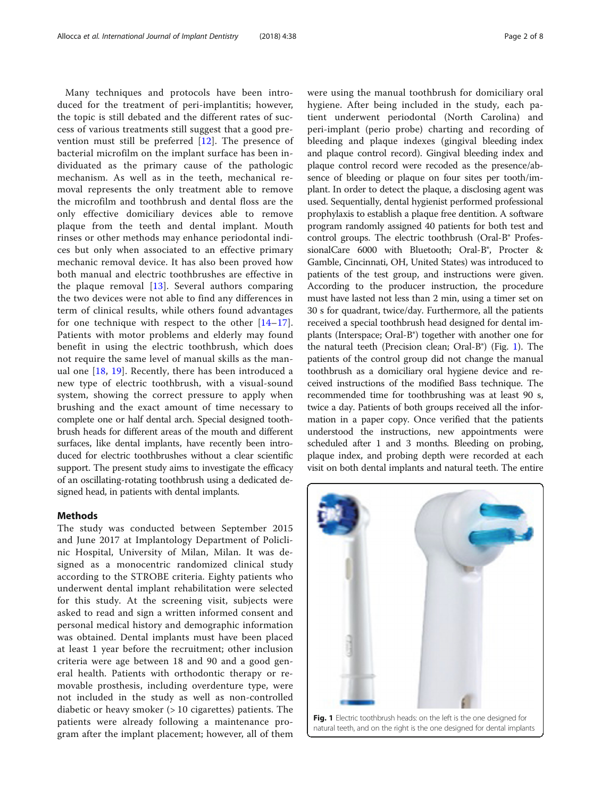Many techniques and protocols have been introduced for the treatment of peri-implantitis; however, the topic is still debated and the different rates of success of various treatments still suggest that a good prevention must still be preferred [[12\]](#page-7-0). The presence of bacterial microfilm on the implant surface has been individuated as the primary cause of the pathologic mechanism. As well as in the teeth, mechanical removal represents the only treatment able to remove the microfilm and toothbrush and dental floss are the only effective domiciliary devices able to remove plaque from the teeth and dental implant. Mouth rinses or other methods may enhance periodontal indices but only when associated to an effective primary mechanic removal device. It has also been proved how both manual and electric toothbrushes are effective in the plaque removal  $[13]$  $[13]$ . Several authors comparing the two devices were not able to find any differences in term of clinical results, while others found advantages for one technique with respect to the other  $[14-17]$  $[14-17]$  $[14-17]$  $[14-17]$  $[14-17]$ . Patients with motor problems and elderly may found benefit in using the electric toothbrush, which does not require the same level of manual skills as the manual one [[18,](#page-7-0) [19\]](#page-7-0). Recently, there has been introduced a new type of electric toothbrush, with a visual-sound system, showing the correct pressure to apply when brushing and the exact amount of time necessary to complete one or half dental arch. Special designed toothbrush heads for different areas of the mouth and different surfaces, like dental implants, have recently been introduced for electric toothbrushes without a clear scientific support. The present study aims to investigate the efficacy of an oscillating-rotating toothbrush using a dedicated designed head, in patients with dental implants.

## **Methods**

The study was conducted between September 2015 and June 2017 at Implantology Department of Policlinic Hospital, University of Milan, Milan. It was designed as a monocentric randomized clinical study according to the STROBE criteria. Eighty patients who underwent dental implant rehabilitation were selected for this study. At the screening visit, subjects were asked to read and sign a written informed consent and personal medical history and demographic information was obtained. Dental implants must have been placed at least 1 year before the recruitment; other inclusion criteria were age between 18 and 90 and a good general health. Patients with orthodontic therapy or removable prosthesis, including overdenture type, were not included in the study as well as non-controlled diabetic or heavy smoker (> 10 cigarettes) patients. The patients were already following a maintenance program after the implant placement; however, all of them

were using the manual toothbrush for domiciliary oral hygiene. After being included in the study, each patient underwent periodontal (North Carolina) and peri-implant (perio probe) charting and recording of bleeding and plaque indexes (gingival bleeding index and plaque control record). Gingival bleeding index and plaque control record were recoded as the presence/absence of bleeding or plaque on four sites per tooth/implant. In order to detect the plaque, a disclosing agent was used. Sequentially, dental hygienist performed professional prophylaxis to establish a plaque free dentition. A software program randomly assigned 40 patients for both test and control groups. The electric toothbrush (Oral-B® ProfessionalCare 6000 with Bluetooth; Oral-B®, Procter & Gamble, Cincinnati, OH, United States) was introduced to patients of the test group, and instructions were given. According to the producer instruction, the procedure must have lasted not less than 2 min, using a timer set on 30 s for quadrant, twice/day. Furthermore, all the patients received a special toothbrush head designed for dental implants (Interspace; Oral-B®) together with another one for the natural teeth (Precision clean; Oral-B<sup>®</sup>) (Fig. 1). The patients of the control group did not change the manual toothbrush as a domiciliary oral hygiene device and received instructions of the modified Bass technique. The recommended time for toothbrushing was at least 90 s, twice a day. Patients of both groups received all the information in a paper copy. Once verified that the patients understood the instructions, new appointments were scheduled after 1 and 3 months. Bleeding on probing, plaque index, and probing depth were recorded at each visit on both dental implants and natural teeth. The entire



Fig. 1 Electric toothbrush heads: on the left is the one designed for natural teeth, and on the right is the one designed for dental implants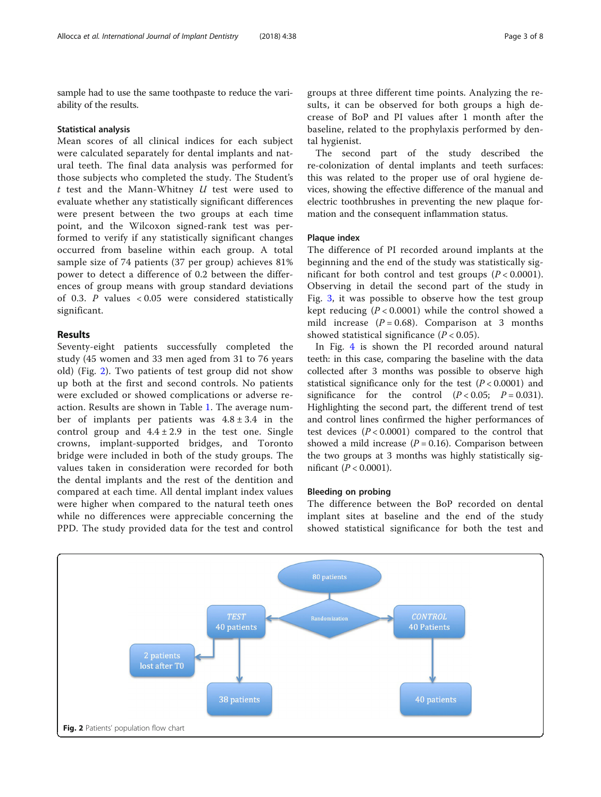sample had to use the same toothpaste to reduce the variability of the results.

#### Statistical analysis

Mean scores of all clinical indices for each subject were calculated separately for dental implants and natural teeth. The final data analysis was performed for those subjects who completed the study. The Student's  $t$  test and the Mann-Whitney  $U$  test were used to evaluate whether any statistically significant differences were present between the two groups at each time point, and the Wilcoxon signed-rank test was performed to verify if any statistically significant changes occurred from baseline within each group. A total sample size of 74 patients (37 per group) achieves 81% power to detect a difference of 0.2 between the differences of group means with group standard deviations of 0.3. P values < 0.05 were considered statistically significant.

## Results

Seventy-eight patients successfully completed the study (45 women and 33 men aged from 31 to 76 years old) (Fig. 2). Two patients of test group did not show up both at the first and second controls. No patients were excluded or showed complications or adverse reaction. Results are shown in Table [1.](#page-3-0) The average number of implants per patients was  $4.8 \pm 3.4$  in the control group and  $4.4 \pm 2.9$  in the test one. Single crowns, implant-supported bridges, and Toronto bridge were included in both of the study groups. The values taken in consideration were recorded for both the dental implants and the rest of the dentition and compared at each time. All dental implant index values were higher when compared to the natural teeth ones while no differences were appreciable concerning the PPD. The study provided data for the test and control

groups at three different time points. Analyzing the results, it can be observed for both groups a high decrease of BoP and PI values after 1 month after the baseline, related to the prophylaxis performed by dental hygienist.

The second part of the study described the re-colonization of dental implants and teeth surfaces: this was related to the proper use of oral hygiene devices, showing the effective difference of the manual and electric toothbrushes in preventing the new plaque formation and the consequent inflammation status.

#### Plaque index

The difference of PI recorded around implants at the beginning and the end of the study was statistically significant for both control and test groups  $(P < 0.0001)$ . Observing in detail the second part of the study in Fig. [3](#page-3-0), it was possible to observe how the test group kept reducing  $(P < 0.0001)$  while the control showed a mild increase  $(P = 0.68)$ . Comparison at 3 months showed statistical significance  $(P < 0.05)$ .

In Fig. [4](#page-4-0) is shown the PI recorded around natural teeth: in this case, comparing the baseline with the data collected after 3 months was possible to observe high statistical significance only for the test  $(P < 0.0001)$  and significance for the control  $(P < 0.05; P = 0.031)$ . Highlighting the second part, the different trend of test and control lines confirmed the higher performances of test devices  $(P < 0.0001)$  compared to the control that showed a mild increase  $(P = 0.16)$ . Comparison between the two groups at 3 months was highly statistically significant ( $P < 0.0001$ ).

#### Bleeding on probing

The difference between the BoP recorded on dental implant sites at baseline and the end of the study showed statistical significance for both the test and

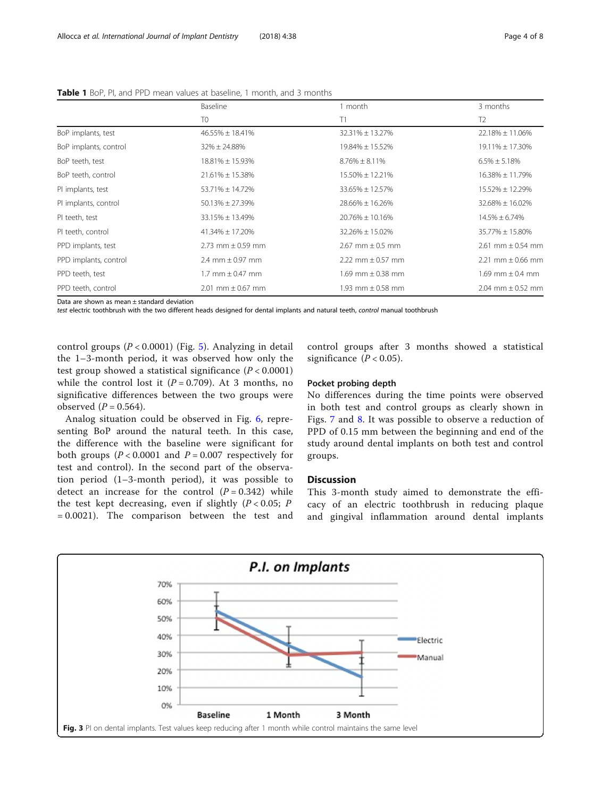|                                                | Baseline<br>T <sub>0</sub> | month<br>T1             | 3 months<br>T <sub>2</sub> |
|------------------------------------------------|----------------------------|-------------------------|----------------------------|
|                                                |                            |                         |                            |
| BoP implants, test                             | 46.55% ± 18.41%            | 32.31% ± 13.27%         | $22.18\% \pm 11.06\%$      |
| BoP implants, control                          | $32\% \pm 24.88\%$         | 19.84% ± 15.52%         | 19.11% ± 17.30%            |
| BoP teeth, test                                | 18.81% ± 15.93%            | $8.76\% \pm 8.11\%$     | $6.5\% \pm 5.18\%$         |
| BoP teeth, control                             | $21.61\% \pm 15.38\%$      | 15.50% ± 12.21%         | $16.38\% \pm 11.79\%$      |
| PI implants, test                              | 53.71% ± 14.72%            | 33.65% ± 12.57%         | 15.52% ± 12.29%            |
| PI implants, control                           | $50.13\% \pm 27.39\%$      | 28.66% ± 16.26%         | 32.68% ± 16.02%            |
| PI teeth, test                                 | $33.15\% \pm 13.49\%$      | 20.76% ± 10.16%         | $14.5\% \pm 6.74\%$        |
| PI teeth, control                              | $41.34\% \pm 17.20\%$      | 32.26% ± 15.02%         | 35.77% ± 15.80%            |
| PPD implants, test                             | $2.73$ mm $\pm$ 0.59 mm    | $2.67$ mm $\pm$ 0.5 mm  | $2.61$ mm $\pm$ 0.54 mm    |
| PPD implants, control                          | 2.4 mm $\pm$ 0.97 mm       | 2.22 mm $\pm$ 0.57 mm   | $2.21$ mm $\pm$ 0.66 mm    |
| PPD teeth, test                                | $1.7$ mm $\pm$ 0.47 mm     | $1.69$ mm $\pm$ 0.38 mm | 1.69 mm $\pm$ 0.4 mm       |
| PPD teeth, control                             | $2.01$ mm $\pm$ 0.67 mm    | 1.93 mm $\pm$ 0.58 mm   | $2.04$ mm $\pm$ 0.52 mm    |
| Data ang akanya ng mga sa tinang dang dangataw |                            |                         |                            |

<span id="page-3-0"></span>Table 1 BoP, PI, and PPD mean values at baseline, 1 month, and 3 months

Data are shown as mean ± standard deviation

test electric toothbrush with the two different heads designed for dental implants and natural teeth, control manual toothbrush

control groups (P < 0.0001) (Fig. [5\)](#page-4-0). Analyzing in detail the 1–3-month period, it was observed how only the test group showed a statistical significance  $(P < 0.0001)$ while the control lost it ( $P = 0.709$ ). At 3 months, no significative differences between the two groups were observed  $(P = 0.564)$ .

Analog situation could be observed in Fig. [6,](#page-5-0) representing BoP around the natural teeth. In this case, the difference with the baseline were significant for both groups ( $P < 0.0001$  and  $P = 0.007$  respectively for test and control). In the second part of the observation period (1–3-month period), it was possible to detect an increase for the control  $(P = 0.342)$  while the test kept decreasing, even if slightly  $(P < 0.05; P)$ = 0.0021). The comparison between the test and control groups after 3 months showed a statistical significance  $(P < 0.05)$ .

#### Pocket probing depth

No differences during the time points were observed in both test and control groups as clearly shown in Figs. [7](#page-5-0) and [8](#page-6-0). It was possible to observe a reduction of PPD of 0.15 mm between the beginning and end of the study around dental implants on both test and control groups.

### **Discussion**

This 3-month study aimed to demonstrate the efficacy of an electric toothbrush in reducing plaque and gingival inflammation around dental implants

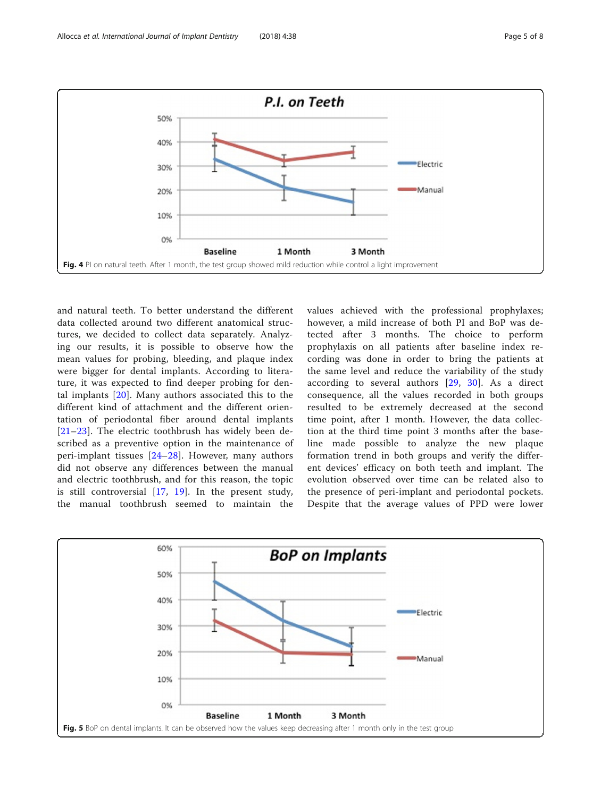<span id="page-4-0"></span>

and natural teeth. To better understand the different data collected around two different anatomical structures, we decided to collect data separately. Analyzing our results, it is possible to observe how the mean values for probing, bleeding, and plaque index were bigger for dental implants. According to literature, it was expected to find deeper probing for dental implants [[20](#page-7-0)]. Many authors associated this to the different kind of attachment and the different orientation of periodontal fiber around dental implants [[21](#page-7-0)–[23](#page-7-0)]. The electric toothbrush has widely been described as a preventive option in the maintenance of peri-implant tissues [\[24](#page-7-0)–[28\]](#page-7-0). However, many authors did not observe any differences between the manual and electric toothbrush, and for this reason, the topic is still controversial [\[17,](#page-7-0) [19\]](#page-7-0). In the present study, the manual toothbrush seemed to maintain the

values achieved with the professional prophylaxes; however, a mild increase of both PI and BoP was detected after 3 months. The choice to perform prophylaxis on all patients after baseline index recording was done in order to bring the patients at the same level and reduce the variability of the study according to several authors [[29,](#page-7-0) [30\]](#page-7-0). As a direct consequence, all the values recorded in both groups resulted to be extremely decreased at the second time point, after 1 month. However, the data collection at the third time point 3 months after the baseline made possible to analyze the new plaque formation trend in both groups and verify the different devices' efficacy on both teeth and implant. The evolution observed over time can be related also to the presence of peri-implant and periodontal pockets. Despite that the average values of PPD were lower

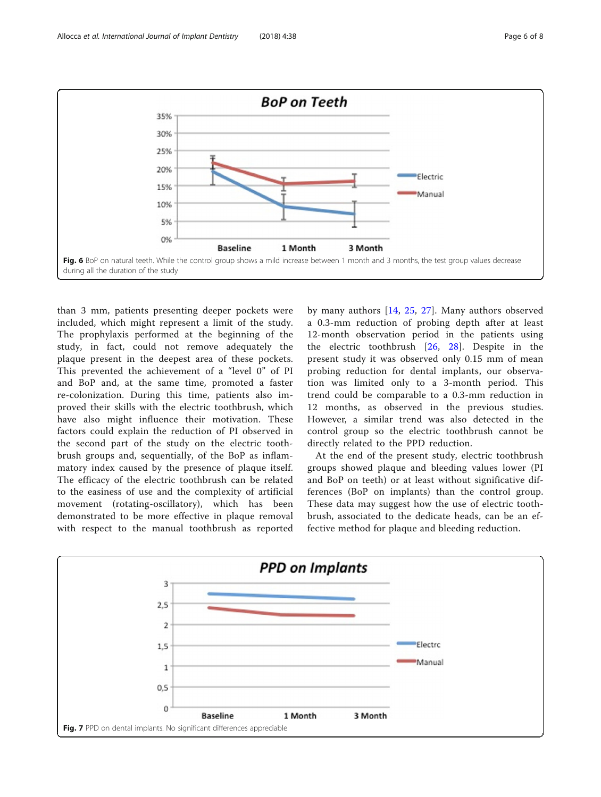<span id="page-5-0"></span>

than 3 mm, patients presenting deeper pockets were included, which might represent a limit of the study. The prophylaxis performed at the beginning of the study, in fact, could not remove adequately the plaque present in the deepest area of these pockets. This prevented the achievement of a "level 0" of PI and BoP and, at the same time, promoted a faster re-colonization. During this time, patients also improved their skills with the electric toothbrush, which have also might influence their motivation. These factors could explain the reduction of PI observed in the second part of the study on the electric toothbrush groups and, sequentially, of the BoP as inflammatory index caused by the presence of plaque itself. The efficacy of the electric toothbrush can be related to the easiness of use and the complexity of artificial movement (rotating-oscillatory), which has been demonstrated to be more effective in plaque removal with respect to the manual toothbrush as reported

by many authors [[14,](#page-7-0) [25](#page-7-0), [27\]](#page-7-0). Many authors observed a 0.3-mm reduction of probing depth after at least 12-month observation period in the patients using the electric toothbrush [[26,](#page-7-0) [28\]](#page-7-0). Despite in the present study it was observed only 0.15 mm of mean probing reduction for dental implants, our observation was limited only to a 3-month period. This trend could be comparable to a 0.3-mm reduction in 12 months, as observed in the previous studies. However, a similar trend was also detected in the control group so the electric toothbrush cannot be directly related to the PPD reduction.

At the end of the present study, electric toothbrush groups showed plaque and bleeding values lower (PI and BoP on teeth) or at least without significative differences (BoP on implants) than the control group. These data may suggest how the use of electric toothbrush, associated to the dedicate heads, can be an effective method for plaque and bleeding reduction.

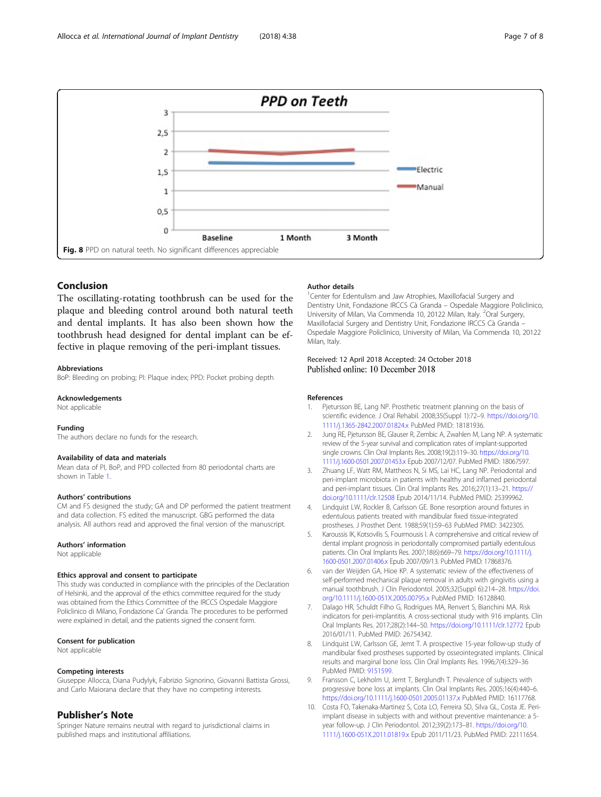<span id="page-6-0"></span>

## Conclusion

The oscillating-rotating toothbrush can be used for the plaque and bleeding control around both natural teeth and dental implants. It has also been shown how the toothbrush head designed for dental implant can be effective in plaque removing of the peri-implant tissues.

#### Abbreviations

BoP: Bleeding on probing; PI: Plaque index; PPD: Pocket probing depth

#### Acknowledgements

Not applicable

#### Funding

The authors declare no funds for the research.

#### Availability of data and materials

Mean data of PI, BoP, and PPD collected from 80 periodontal charts are shown in Table [1.](#page-3-0)

#### Authors' contributions

CM and FS designed the study; GA and DP performed the patient treatment and data collection. FS edited the manuscript. GBG performed the data analysis. All authors read and approved the final version of the manuscript.

#### Authors' information

Not applicable

#### Ethics approval and consent to participate

This study was conducted in compliance with the principles of the Declaration of Helsinki, and the approval of the ethics committee required for the study was obtained from the Ethics Committee of the IRCCS Ospedale Maggiore Policlinico di Milano, Fondazione Ca' Granda. The procedures to be performed were explained in detail, and the patients signed the consent form.

#### Consent for publication

Not applicable

#### Competing interests

Giuseppe Allocca, Diana Pudylyk, Fabrizio Signorino, Giovanni Battista Grossi, and Carlo Maiorana declare that they have no competing interests.

#### Publisher's Note

Springer Nature remains neutral with regard to jurisdictional claims in published maps and institutional affiliations.

#### Author details

<sup>1</sup> Center for Edentulism and Jaw Atrophies, Maxillofacial Surgery and Dentistry Unit, Fondazione IRCCS Cà Granda – Ospedale Maggiore Policlinico, University of Milan, Via Commenda 10, 20122 Milan, Italy. <sup>2</sup>Oral Surgery, Maxillofacial Surgery and Dentistry Unit, Fondazione IRCCS Cà Granda – Ospedale Maggiore Policlinico, University of Milan, Via Commenda 10, 20122 Milan, Italy.

#### Received: 12 April 2018 Accepted: 24 October 2018 Published online: 10 December 2018

#### References

- 1. Pjetursson BE, Lang NP. Prosthetic treatment planning on the basis of scientific evidence. J Oral Rehabil. 2008;35(Suppl 1):72–9. [https://doi.org/10.](https://doi.org/10.1111/j.1365-2842.2007.01824.x) [1111/j.1365-2842.2007.01824.x](https://doi.org/10.1111/j.1365-2842.2007.01824.x) PubMed PMID: 18181936.
- 2. Jung RE, Pjetursson BE, Glauser R, Zembic A, Zwahlen M, Lang NP. A systematic review of the 5-year survival and complication rates of implant-supported single crowns. Clin Oral Implants Res. 2008;19(2):119–30. [https://doi.org/10.](https://doi.org/10.1111/j.1600-0501.2007.01453.x) [1111/j.1600-0501.2007.01453.x](https://doi.org/10.1111/j.1600-0501.2007.01453.x) Epub 2007/12/07. PubMed PMID: 18067597.
- 3. Zhuang LF, Watt RM, Mattheos N, Si MS, Lai HC, Lang NP. Periodontal and peri-implant microbiota in patients with healthy and inflamed periodontal and peri-implant tissues. Clin Oral Implants Res. 2016;27(1):13–21. [https://](https://doi.org/10.1111/clr.12508) [doi.org/10.1111/clr.12508](https://doi.org/10.1111/clr.12508) Epub 2014/11/14. PubMed PMID: 25399962.
- 4. Lindquist LW, Rockler B, Carlsson GE. Bone resorption around fixtures in edentulous patients treated with mandibular fixed tissue-integrated prostheses. J Prosthet Dent. 1988;59(1):59–63 PubMed PMID: 3422305.
- 5. Karoussis IK, Kotsovilis S, Fourmousis I. A comprehensive and critical review of dental implant prognosis in periodontally compromised partially edentulous patients. Clin Oral Implants Res. 2007;18(6):669–79. [https://doi.org/10.1111/j.](https://doi.org/10.1111/j.1600-0501.2007.01406.x) [1600-0501.2007.01406.x](https://doi.org/10.1111/j.1600-0501.2007.01406.x) Epub 2007/09/13. PubMed PMID: 17868376.
- van der Weijden GA, Hioe KP. A systematic review of the effectiveness of self-performed mechanical plaque removal in adults with gingivitis using a manual toothbrush. J Clin Periodontol. 2005;32(Suppl 6):214–28. [https://doi.](https://doi.org/10.1111/j.1600-051X.2005.00795.x) [org/10.1111/j.1600-051X.2005.00795.x](https://doi.org/10.1111/j.1600-051X.2005.00795.x) PubMed PMID: 16128840.
- 7. Dalago HR, Schuldt Filho G, Rodrigues MA, Renvert S, Bianchini MA. Risk indicators for peri-implantitis. A cross-sectional study with 916 implants. Clin Oral Implants Res. 2017;28(2):144–50. <https://doi.org/10.1111/clr.12772> Epub 2016/01/11. PubMed PMID: 26754342.
- 8. Lindquist LW, Carlsson GE, Jemt T. A prospective 15-year follow-up study of mandibular fixed prostheses supported by osseointegrated implants. Clinical results and marginal bone loss. Clin Oral Implants Res. 1996;7(4):329–36 PubMed PMID: [9151599](https://www.ncbi.nlm.nih.gov/pubmed/9151599).
- Fransson C, Lekholm U, Jemt T, Berglundh T. Prevalence of subjects with progressive bone loss at implants. Clin Oral Implants Res. 2005;16(4):440–6. <https://doi.org/10.1111/j.1600-0501.2005.01137.x> PubMed PMID: 16117768.
- 10. Costa FO, Takenaka-Martinez S, Cota LO, Ferreira SD, Silva GL, Costa JE. Periimplant disease in subjects with and without preventive maintenance: a 5 year follow-up. J Clin Periodontol. 2012;39(2):173–81. [https://doi.org/10.](https://doi.org/10.1111/j.1600-051X.2011.01819.x) [1111/j.1600-051X.2011.01819.x](https://doi.org/10.1111/j.1600-051X.2011.01819.x) Epub 2011/11/23. PubMed PMID: 22111654.